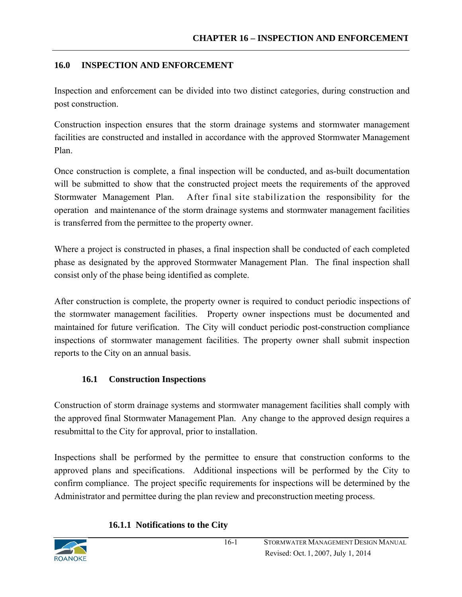## **16.0 INSPECTION AND ENFORCEMENT**

Inspection and enforcement can be divided into two distinct categories, during construction and post construction.

Construction inspection ensures that the storm drainage systems and stormwater management facilities are constructed and installed in accordance with the approved Stormwater Management Plan.

Once construction is complete, a final inspection will be conducted, and as-built documentation will be submitted to show that the constructed project meets the requirements of the approved Stormwater Management Plan. After final site stabilization the responsibility for the operation and maintenance of the storm drainage systems and stormwater management facilities is transferred from the permittee to the property owner.

Where a project is constructed in phases, a final inspection shall be conducted of each completed phase as designated by the approved Stormwater Management Plan. The final inspection shall consist only of the phase being identified as complete.

After construction is complete, the property owner is required to conduct periodic inspections of the stormwater management facilities. Property owner inspections must be documented and maintained for future verification. The City will conduct periodic post-construction compliance inspections of stormwater management facilities. The property owner shall submit inspection reports to the City on an annual basis.

# **16.1 Construction Inspections**

Construction of storm drainage systems and stormwater management facilities shall comply with the approved final Stormwater Management Plan. Any change to the approved design requires a resubmittal to the City for approval, prior to installation.

Inspections shall be performed by the permittee to ensure that construction conforms to the approved plans and specifications. Additional inspections will be performed by the City to confirm compliance. The project specific requirements for inspections will be determined by the Administrator and permittee during the plan review and preconstruction meeting process.

### **16.1.1 Notifications to the City**

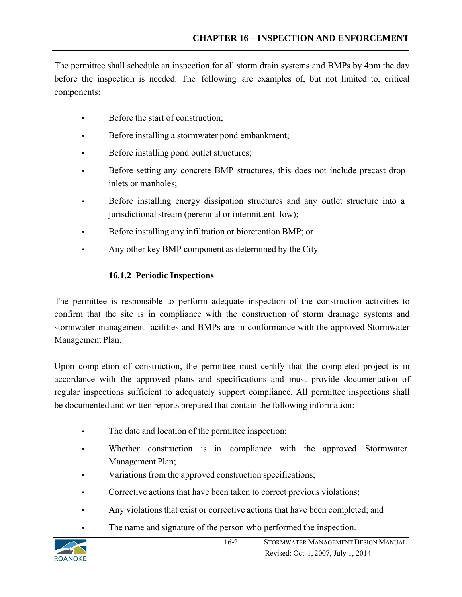The permittee shall schedule an inspection for all storm drain systems and BMPs by 4pm the day before the inspection is needed. The following are examples of, but not limited to, critical components:

- Before the start of construction;
- Before installing a stormwater pond embankment;
- Before installing pond outlet structures;
- Before setting any concrete BMP structures, this does not include precast drop inlets or manholes;
- Before installing energy dissipation structures and any outlet structure into a jurisdictional stream (perennial or intermittent flow);
- Before installing any infiltration or bioretention BMP; or
- Any other key BMP component as determined by the City

# **16.1.2 Periodic Inspections**

The permittee is responsible to perform adequate inspection of the construction activities to confirm that the site is in compliance with the construction of storm drainage systems and stormwater management facilities and BMPs are in conformance with the approved Stormwater Management Plan.

Upon completion of construction, the permittee must certify that the completed project is in accordance with the approved plans and specifications and must provide documentation of regular inspections sufficient to adequately support compliance. All permittee inspections shall be documented and written reports prepared that contain the following information:

- The date and location of the permittee inspection;
- Whether construction is in compliance with the approved Stormwater Management Plan;
- Variations from the approved construction specifications;
- Corrective actions that have been taken to correct previous violations;
- Any violations that exist or corrective actions that have been completed; and
- The name and signature of the person who performed the inspection.

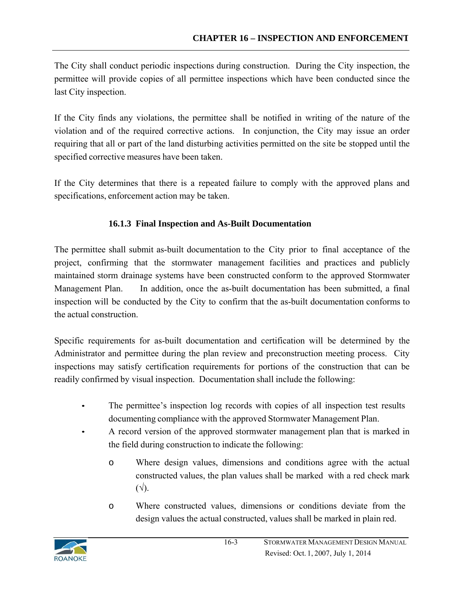The City shall conduct periodic inspections during construction. During the City inspection, the permittee will provide copies of all permittee inspections which have been conducted since the last City inspection.

If the City finds any violations, the permittee shall be notified in writing of the nature of the violation and of the required corrective actions. In conjunction, the City may issue an order requiring that all or part of the land disturbing activities permitted on the site be stopped until the specified corrective measures have been taken.

If the City determines that there is a repeated failure to comply with the approved plans and specifications, enforcement action may be taken.

## **16.1.3 Final Inspection and As-Built Documentation**

The permittee shall submit as-built documentation to the City prior to final acceptance of the project, confirming that the stormwater management facilities and practices and publicly maintained storm drainage systems have been constructed conform to the approved Stormwater Management Plan. In addition, once the as-built documentation has been submitted, a final inspection will be conducted by the City to confirm that the as-built documentation conforms to the actual construction.

Specific requirements for as-built documentation and certification will be determined by the Administrator and permittee during the plan review and preconstruction meeting process. City inspections may satisfy certification requirements for portions of the construction that can be readily confirmed by visual inspection. Documentation shall include the following:

- The permittee's inspection log records with copies of all inspection test results documenting compliance with the approved Stormwater Management Plan.
- A record version of the approved stormwater management plan that is marked in the field during construction to indicate the following:
	- o Where design values, dimensions and conditions agree with the actual constructed values, the plan values shall be marked with a red check mark  $(\sqrt{2})$ .
	- o Where constructed values, dimensions or conditions deviate from the design values the actual constructed, values shall be marked in plain red.

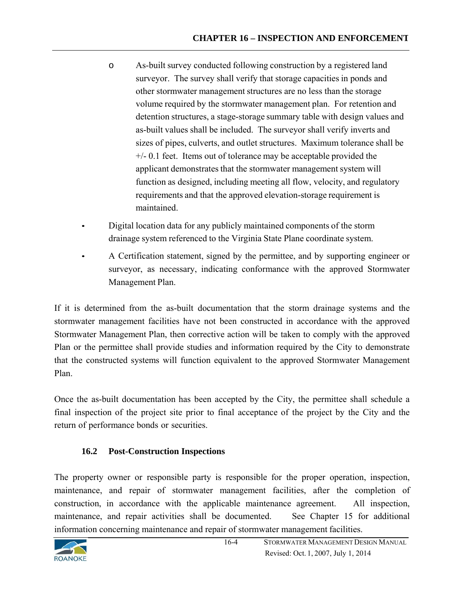- o As-built survey conducted following construction by a registered land surveyor. The survey shall verify that storage capacities in ponds and other stormwater management structures are no less than the storage volume required by the stormwater management plan. For retention and detention structures, a stage-storage summary table with design values and as-built values shall be included. The surveyor shall verify inverts and sizes of pipes, culverts, and outlet structures. Maximum tolerance shall be  $+/-$  0.1 feet. Items out of tolerance may be acceptable provided the applicant demonstrates that the stormwater management system will function as designed, including meeting all flow, velocity, and regulatory requirements and that the approved elevation-storage requirement is maintained.
- Digital location data for any publicly maintained components of the storm drainage system referenced to the Virginia State Plane coordinate system.
- A Certification statement, signed by the permittee, and by supporting engineer or surveyor, as necessary, indicating conformance with the approved Stormwater Management Plan.

If it is determined from the as-built documentation that the storm drainage systems and the stormwater management facilities have not been constructed in accordance with the approved Stormwater Management Plan, then corrective action will be taken to comply with the approved Plan or the permittee shall provide studies and information required by the City to demonstrate that the constructed systems will function equivalent to the approved Stormwater Management Plan.

Once the as-built documentation has been accepted by the City, the permittee shall schedule a final inspection of the project site prior to final acceptance of the project by the City and the return of performance bonds or securities.

# **16.2 Post-Construction Inspections**

The property owner or responsible party is responsible for the proper operation, inspection, maintenance, and repair of stormwater management facilities, after the completion of construction, in accordance with the applicable maintenance agreement. All inspection, maintenance, and repair activities shall be documented. See Chapter 15 for additional information concerning maintenance and repair of stormwater management facilities.

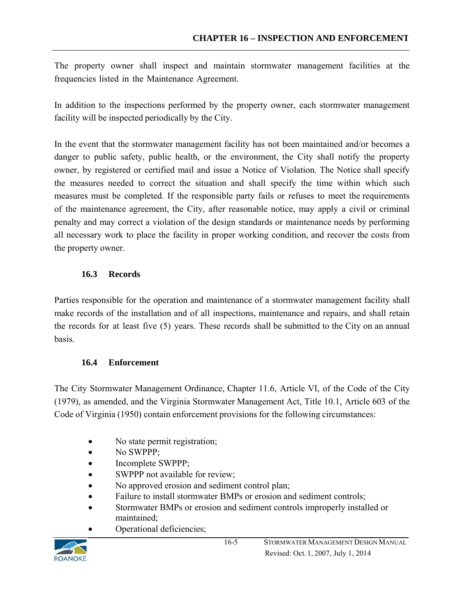The property owner shall inspect and maintain stormwater management facilities at the frequencies listed in the Maintenance Agreement.

In addition to the inspections performed by the property owner, each stormwater management facility will be inspected periodically by the City.

In the event that the stormwater management facility has not been maintained and/or becomes a danger to public safety, public health, or the environment, the City shall notify the property owner, by registered or certified mail and issue a Notice of Violation. The Notice shall specify the measures needed to correct the situation and shall specify the time within which such measures must be completed. If the responsible party fails or refuses to meet the requirements of the maintenance agreement, the City, after reasonable notice, may apply a civil or criminal penalty and may correct a violation of the design standards or maintenance needs by performing all necessary work to place the facility in proper working condition, and recover the costs from the property owner.

# **16.3 Records**

Parties responsible for the operation and maintenance of a stormwater management facility shall make records of the installation and of all inspections, maintenance and repairs, and shall retain the records for at least five (5) years. These records shall be submitted to the City on an annual basis.

### **16.4 Enforcement**

The City Stormwater Management Ordinance, Chapter 11.6, Article VI, of the Code of the City (1979), as amended, and the Virginia Stormwater Management Act, Title 10.1, Article 603 of the Code of Virginia (1950) contain enforcement provisions for the following circumstances:

- No state permit registration;
- No SWPPP;
- Incomplete SWPPP;
- SWPPP not available for review;
- No approved erosion and sediment control plan;
- Failure to install stormwater BMPs or erosion and sediment controls;
- Stormwater BMPs or erosion and sediment controls improperly installed or maintained;
- Operational deficiencies;

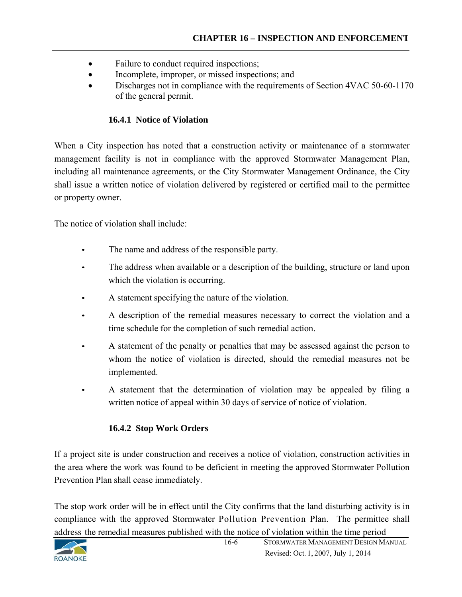- Failure to conduct required inspections;
- Incomplete, improper, or missed inspections; and
- Discharges not in compliance with the requirements of Section 4VAC 50-60-1170 of the general permit.

#### **16.4.1 Notice of Violation**

When a City inspection has noted that a construction activity or maintenance of a stormwater management facility is not in compliance with the approved Stormwater Management Plan, including all maintenance agreements, or the City Stormwater Management Ordinance, the City shall issue a written notice of violation delivered by registered or certified mail to the permittee or property owner.

The notice of violation shall include:

- The name and address of the responsible party.
- The address when available or a description of the building, structure or land upon which the violation is occurring.
- A statement specifying the nature of the violation.
- A description of the remedial measures necessary to correct the violation and a time schedule for the completion of such remedial action.
- A statement of the penalty or penalties that may be assessed against the person to whom the notice of violation is directed, should the remedial measures not be implemented.
- A statement that the determination of violation may be appealed by filing a written notice of appeal within 30 days of service of notice of violation.

### **16.4.2 Stop Work Orders**

If a project site is under construction and receives a notice of violation, construction activities in the area where the work was found to be deficient in meeting the approved Stormwater Pollution Prevention Plan shall cease immediately.

The stop work order will be in effect until the City confirms that the land disturbing activity is in compliance with the approved Stormwater Pollution Prevention Plan. The permittee shall address the remedial measures published with the notice of violation within the time period

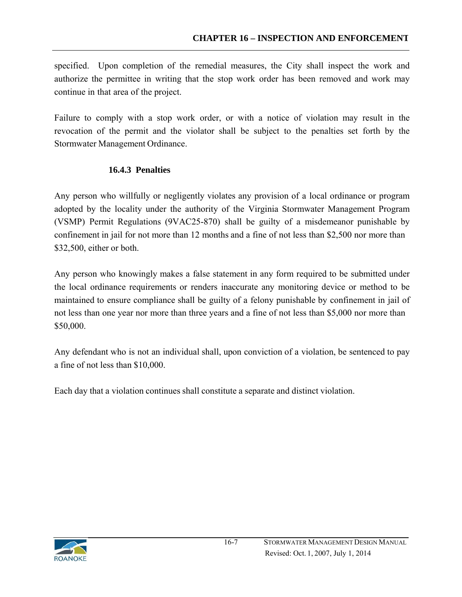specified. Upon completion of the remedial measures, the City shall inspect the work and authorize the permittee in writing that the stop work order has been removed and work may continue in that area of the project.

Failure to comply with a stop work order, or with a notice of violation may result in the revocation of the permit and the violator shall be subject to the penalties set forth by the Stormwater Management Ordinance.

## **16.4.3 Penalties**

Any person who willfully or negligently violates any provision of a local ordinance or program adopted by the locality under the authority of the Virginia Stormwater Management Program (VSMP) Permit Regulations (9VAC25-870) shall be guilty of a misdemeanor punishable by confinement in jail for not more than 12 months and a fine of not less than \$2,500 nor more than \$32,500, either or both.

Any person who knowingly makes a false statement in any form required to be submitted under the local ordinance requirements or renders inaccurate any monitoring device or method to be maintained to ensure compliance shall be guilty of a felony punishable by confinement in jail of not less than one year nor more than three years and a fine of not less than \$5,000 nor more than \$50,000.

Any defendant who is not an individual shall, upon conviction of a violation, be sentenced to pay a fine of not less than \$10,000.

Each day that a violation continues shall constitute a separate and distinct violation.

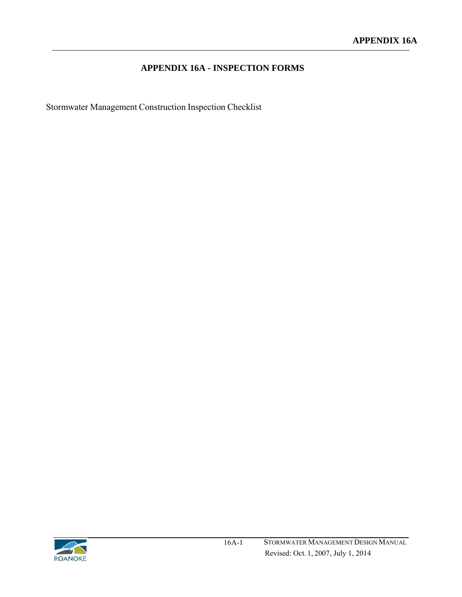# **APPENDIX 16A - INSPECTION FORMS**

Stormwater Management Construction Inspection Checklist

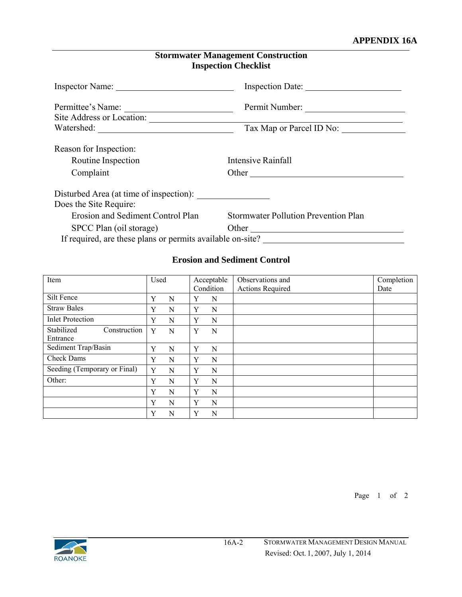#### **APPENDIX 16A**

| <b>Stormwater Management Construction</b> |
|-------------------------------------------|
| <b>Inspection Checklist</b>               |

|                                                            | Inspection Date:                            |  |  |  |  |
|------------------------------------------------------------|---------------------------------------------|--|--|--|--|
| Permittee's Name:                                          | Permit Number:                              |  |  |  |  |
| Site Address or Location:                                  |                                             |  |  |  |  |
|                                                            | Tax Map or Parcel ID No:                    |  |  |  |  |
| Reason for Inspection:                                     |                                             |  |  |  |  |
| Routine Inspection                                         | Intensive Rainfall                          |  |  |  |  |
| Complaint                                                  |                                             |  |  |  |  |
| Disturbed Area (at time of inspection):                    |                                             |  |  |  |  |
| Does the Site Require:                                     |                                             |  |  |  |  |
| Erosion and Sediment Control Plan                          | <b>Stormwater Pollution Prevention Plan</b> |  |  |  |  |
| SPCC Plan (oil storage)                                    | Other                                       |  |  |  |  |
| If required, are these plans or permits available on-site? |                                             |  |  |  |  |

### **Erosion and Sediment Control**

| Item                                   | Used |   |   | Acceptable | Observations and        | Completion |
|----------------------------------------|------|---|---|------------|-------------------------|------------|
|                                        |      |   |   | Condition  | <b>Actions Required</b> | Date       |
| Silt Fence                             | Y    | N | Y | N          |                         |            |
| <b>Straw Bales</b>                     | Y    | N | Y | N          |                         |            |
| <b>Inlet Protection</b>                | Y    | N | Y | N          |                         |            |
| Stabilized<br>Construction<br>Entrance | Y    | N | Y | N          |                         |            |
| Sediment Trap/Basin                    | Y    | N | Y | N          |                         |            |
| <b>Check Dams</b>                      | Y    | N | Y | N          |                         |            |
| Seeding (Temporary or Final)           | Y    | N | Y | N          |                         |            |
| Other:                                 | Y    | N | Y | N          |                         |            |
|                                        | Y    | N | Y | N          |                         |            |
|                                        | Y    | N | Y | N          |                         |            |
|                                        | Y    | N | Y | N          |                         |            |

Page 1 of 2